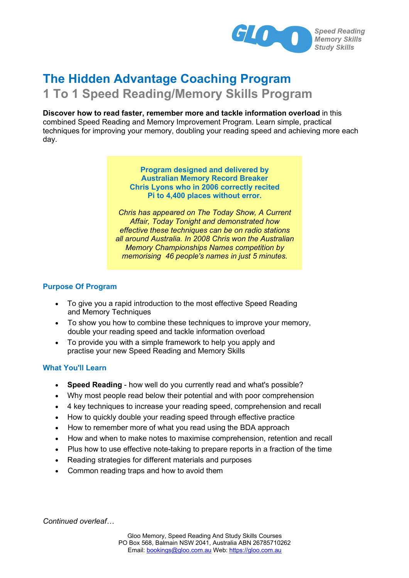

# **The Hidden Advantage Coaching Program**

# **1 To 1 Speed Reading/Memory Skills Program**

**Discover how to read faster, remember more and tackle information overload** in this combined Speed Reading and Memory Improvement Program. Learn simple, practical techniques for improving your memory, doubling your reading speed and achieving more each day.

> **Program designed and delivered by Australian Memory Record Breaker Chris Lyons who in 2006 correctly recited Pi to 4,400 places without error.**

*Chris has appeared on The Today Show, A Current Affair, Today Tonight and demonstrated how effective these techniques can be on radio stations all around Australia. In 2008 Chris won the Australian Memory Championships Names competition by memorising 46 people's names in just 5 minutes.*

# **Purpose Of Program**

- · To give you a rapid introduction to the most effective Speed Reading and Memory Techniques
- · To show you how to combine these techniques to improve your memory, double your reading speed and tackle information overload
- · To provide you with a simple framework to help you apply and practise your new Speed Reading and Memory Skills

## **What You'll Learn**

- · **Speed Reading** how well do you currently read and what's possible?
- · Why most people read below their potential and with poor comprehension
- · 4 key techniques to increase your reading speed, comprehension and recall
- · How to quickly double your reading speed through effective practice
- How to remember more of what you read using the BDA approach
- How and when to make notes to maximise comprehension, retention and recall
- · Plus how to use effective note-taking to prepare reports in a fraction of the time
- Reading strategies for different materials and purposes
- · Common reading traps and how to avoid them

*Continued overleaf…*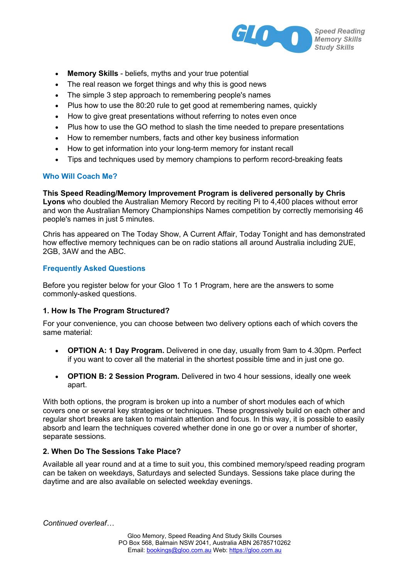

- **Memory Skills** beliefs, myths and your true potential
- The real reason we forget things and why this is good news
- The simple 3 step approach to remembering people's names
- Plus how to use the 80:20 rule to get good at remembering names, quickly
- How to give great presentations without referring to notes even once
- Plus how to use the GO method to slash the time needed to prepare presentations
- How to remember numbers, facts and other key business information
- How to get information into your long-term memory for instant recall
- · Tips and techniques used by memory champions to perform record-breaking feats

# **Who Will Coach Me?**

**This Speed Reading/Memory Improvement Program is delivered personally by Chris Lyons** who doubled the Australian Memory Record by reciting Pi to 4,400 places without error and won the Australian Memory Championships Names competition by correctly memorising 46 people's names in just 5 minutes.

Chris has appeared on The Today Show, A Current Affair, Today Tonight and has demonstrated how effective memory techniques can be on radio stations all around Australia including 2UE, 2GB, 3AW and the ABC.

# **Frequently Asked Questions**

Before you register below for your Gloo 1 To 1 Program, here are the answers to some commonly-asked questions.

## **1. How Is The Program Structured?**

For your convenience, you can choose between two delivery options each of which covers the same material:

- · **OPTION A: 1 Day Program.** Delivered in one day, usually from 9am to 4.30pm. Perfect if you want to cover all the material in the shortest possible time and in just one go.
- · **OPTION B: 2 Session Program.** Delivered in two 4 hour sessions, ideally one week apart.

With both options, the program is broken up into a number of short modules each of which covers one or several key strategies or techniques. These progressively build on each other and regular short breaks are taken to maintain attention and focus. In this way, it is possible to easily absorb and learn the techniques covered whether done in one go or over a number of shorter, separate sessions.

## **2. When Do The Sessions Take Place?**

Available all year round and at a time to suit you, this combined memory/speed reading program can be taken on weekdays, Saturdays and selected Sundays. Sessions take place during the daytime and are also available on selected weekday evenings.

*Continued overleaf…*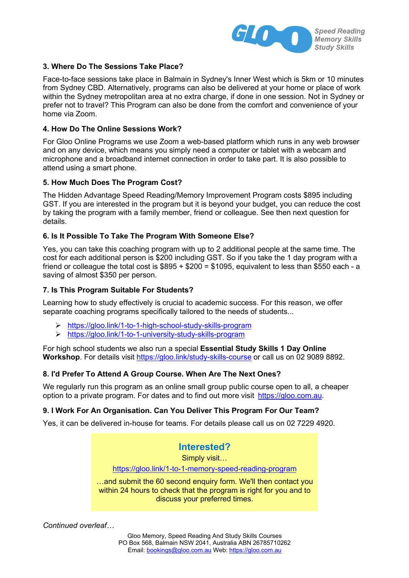

# **3. Where Do The Sessions Take Place?**

Face-to-face sessions take place in Balmain in Sydney's Inner West which is 5km or 10 minutes from Sydney CBD. Alternatively, programs can also be delivered at your home or place of work within the Sydney metropolitan area at no extra charge, if done in one session. Not in Sydney or prefer not to travel? This Program can also be done from the comfort and convenience of your home via Zoom.

# **4. How Do The Online Sessions Work?**

For Gloo Online Programs we use Zoom a web-based platform which runs in any web browser and on any device, which means you simply need a computer or tablet with a webcam and microphone and a broadband internet connection in order to take part. It is also possible to attend using a smart phone.

## **5. How Much Does The Program Cost?**

The Hidden Advantage Speed Reading/Memory Improvement Program costs \$895 including GST. If you are interested in the program but it is beyond your budget, you can reduce the cost by taking the program with a family member, friend or colleague. See then next question for details.

## **6. Is It Possible To Take The Program With Someone Else?**

Yes, you can take this coaching program with up to 2 additional people at the same time. The cost for each additional person is \$200 including GST. So if you take the 1 day program with a friend or colleague the total cost is  $$895 + $200 = $1095$ , equivalent to less than \$550 each - a saving of almost \$350 per person.

## **7. Is This Program Suitable For Students?**

Learning how to study effectively is crucial to academic success. For this reason, we offer separate coaching programs specifically tailored to the needs of students...

- ÿ https://gloo.link/1-to-1-high-school-study-skills-program
- ÿ https://gloo.link/1-to-1-university-study-skills-program

For high school students we also run a special **Essential Study Skills 1 Day Online Workshop**. For details visit https://gloo.link/study-skills-course or call us on 02 9089 8892.

## **8. I'd Prefer To Attend A Group Course. When Are The Next Ones?**

We regularly run this program as an online small group public course open to all, a cheaper option to a private program. For dates and to find out more visit https://gloo.com.au.

# **9. I Work For An Organisation. Can You Deliver This Program For Our Team?**

Yes, it can be delivered in-house for teams. For details please call us on 02 7229 4920.

**Interested?**  Simply visit… https://gloo.link/1-to-1-memory-speed-reading-program …and submit the 60 second enquiry form. We'll then contact you within 24 hours to check that the program is right for you and to

discuss your preferred times.

*Continued overleaf…*